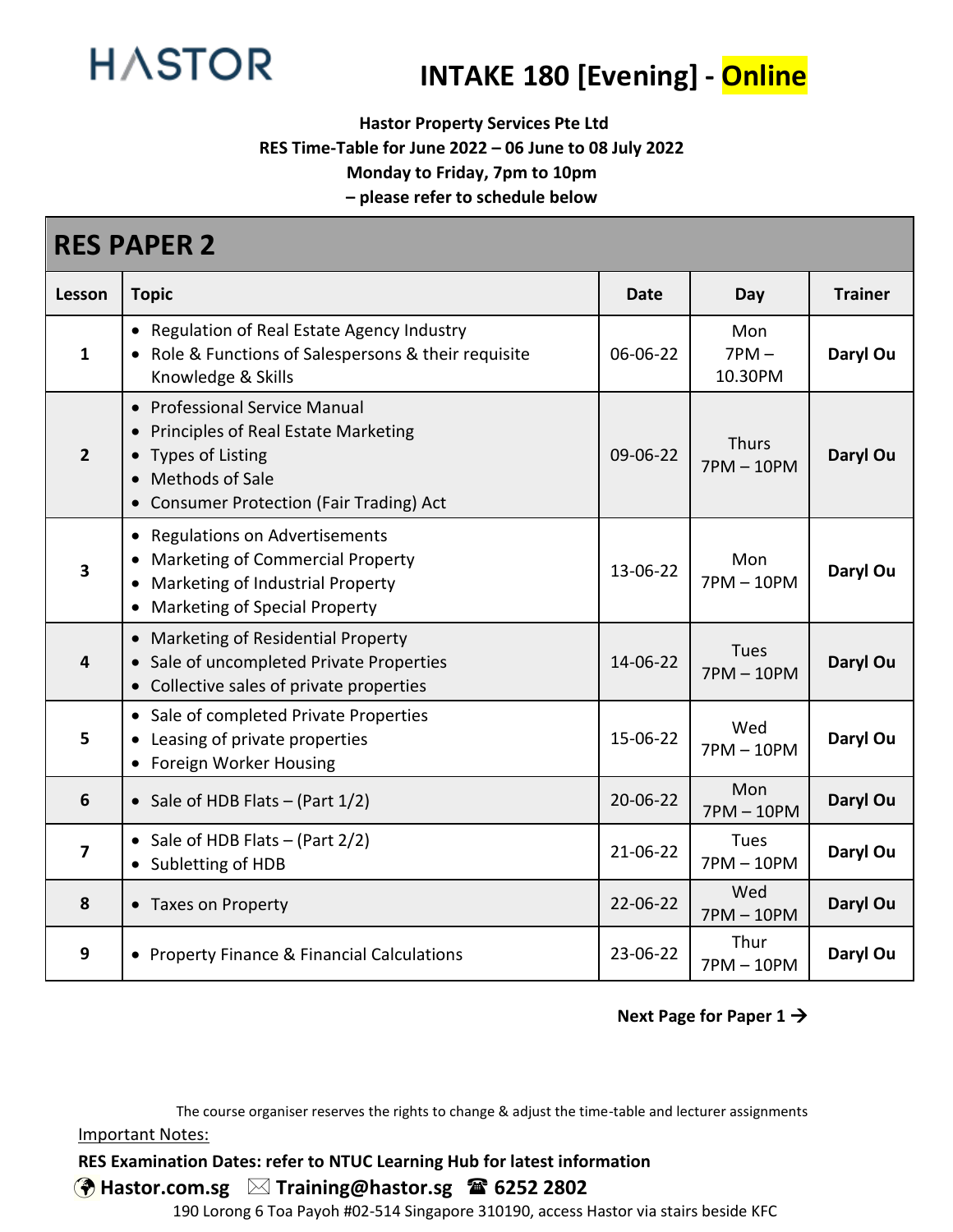

# **INTAKE 180 [Evening] - Online**

**Hastor Property Services Pte Ltd**

**RES Time-Table for June 2022 – 06 June to 08 July 2022**

**Monday to Friday, 7pm to 10pm**

**– please refer to schedule below**

| <b>RES PAPER 2</b>      |                                                                                                                                                                                       |          |                              |                |  |
|-------------------------|---------------------------------------------------------------------------------------------------------------------------------------------------------------------------------------|----------|------------------------------|----------------|--|
| Lesson                  | <b>Topic</b>                                                                                                                                                                          | Date     | Day                          | <b>Trainer</b> |  |
| $\mathbf{1}$            | • Regulation of Real Estate Agency Industry<br>• Role & Functions of Salespersons & their requisite<br>Knowledge & Skills                                                             | 06-06-22 | Mon<br>$7PM -$<br>10.30PM    | Daryl Ou       |  |
| $\overline{2}$          | <b>Professional Service Manual</b><br>$\bullet$<br>Principles of Real Estate Marketing<br><b>Types of Listing</b><br>Methods of Sale<br><b>Consumer Protection (Fair Trading) Act</b> | 09-06-22 | <b>Thurs</b><br>$7PM - 10PM$ | Daryl Ou       |  |
| $\overline{\mathbf{3}}$ | <b>Regulations on Advertisements</b><br>$\bullet$<br><b>Marketing of Commercial Property</b><br>Marketing of Industrial Property<br>Marketing of Special Property                     | 13-06-22 | Mon<br>$7PM - 10PM$          | Daryl Ou       |  |
| $\overline{4}$          | Marketing of Residential Property<br>Sale of uncompleted Private Properties<br>Collective sales of private properties                                                                 | 14-06-22 | <b>Tues</b><br>$7PM - 10PM$  | Daryl Ou       |  |
| 5                       | • Sale of completed Private Properties<br>Leasing of private properties<br>Foreign Worker Housing                                                                                     | 15-06-22 | Wed<br>$7PM - 10PM$          | Daryl Ou       |  |
| $6\phantom{1}6$         | • Sale of HDB Flats $-$ (Part $1/2$ )                                                                                                                                                 | 20-06-22 | Mon<br>$7PM - 10PM$          | Daryl Ou       |  |
| $\overline{\mathbf{z}}$ | Sale of HDB Flats $-$ (Part 2/2)<br>Subletting of HDB                                                                                                                                 | 21-06-22 | Tues<br>$7PM - 10PM$         | Daryl Ou       |  |
| 8                       | • Taxes on Property                                                                                                                                                                   | 22-06-22 | Wed<br>$7PM - 10PM$          | Daryl Ou       |  |
| 9                       | • Property Finance & Financial Calculations                                                                                                                                           | 23-06-22 | Thur<br>7PM-10PM             | Daryl Ou       |  |

#### **Next Page for Paper 1** →

The course organiser reserves the rights to change & adjust the time-table and lecturer assignments Important Notes:

#### **RES Examination Dates: refer to NTUC Learning Hub for latest information**

**Hastor.com.sg Training@hastor.sg 6252 2802**

190 Lorong 6 Toa Payoh #02-514 Singapore 310190, access Hastor via stairs beside KFC